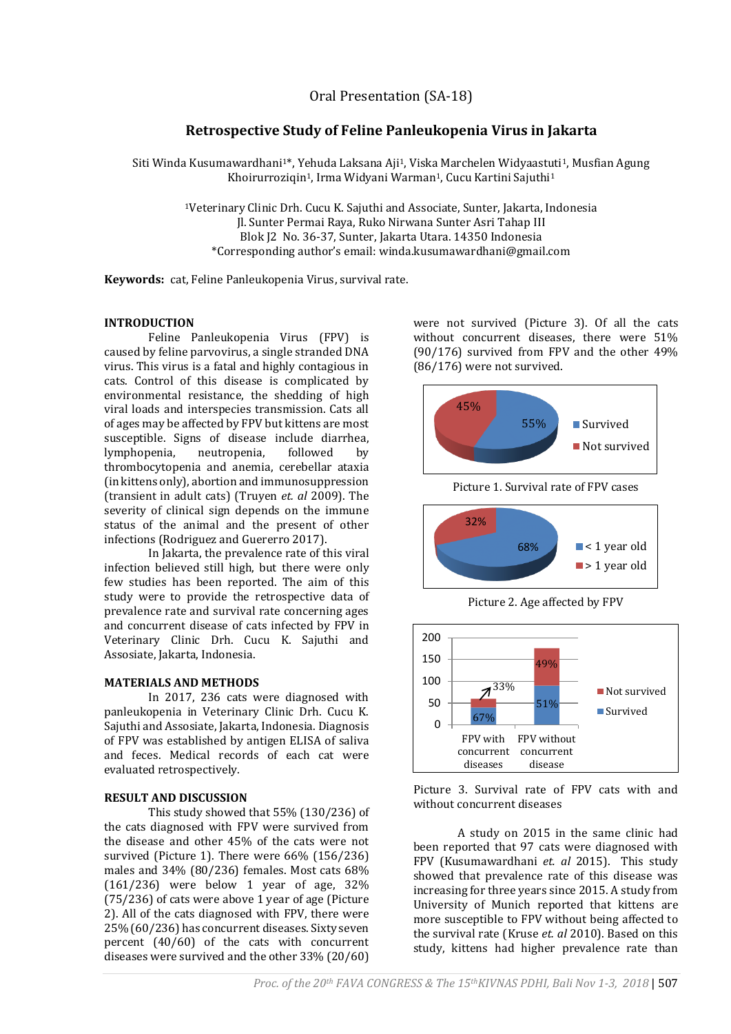# **Retrospective Study of Feline Panleukopenia Virus in Jakarta**

Siti Winda Kusumawardhani<sup>1\*</sup>, Yehuda Laksana Aji<sup>1</sup>, Viska Marchelen Widyaastuti<sup>1</sup>, Musfian Agung Khoirurroziqin<sup>1</sup>, Irma Widyani Warman<sup>1</sup>, Cucu Kartini Sajuthi<sup>1</sup>

> <sup>1</sup>Veterinary Clinic Drh. Cucu K. Sajuthi and Associate, Sunter, Jakarta, Indonesia Jl. Sunter Permai Raya, Ruko Nirwana Sunter Asri Tahap III Blok J2 No. 36-37, Sunter, Jakarta Utara. 14350 Indonesia \*Corresponding author's email: winda.kusumawardhani@gmail.com

**Keywords:** cat, Feline Panleukopenia Virus, survival rate.

### **INTRODUCTION**

Feline Panleukopenia Virus (FPV) is caused by feline parvovirus, a single stranded DNA virus. This virus is a fatal and highly contagious in cats. Control of this disease is complicated by environmental resistance, the shedding of high viral loads and interspecies transmission. Cats all of ages may be affected by FPV but kittens are most susceptible. Signs of disease include diarrhea, lymphopenia, neutropenia, followed by thrombocytopenia and anemia, cerebellar ataxia (in kittens only), abortion and immunosuppression (transient in adult cats) (Truyen *et. al* 2009). The severity of clinical sign depends on the immune status of the animal and the present of other infections (Rodriguez and Guererro 2017).

In Jakarta, the prevalence rate of this viral infection believed still high, but there were only few studies has been reported. The aim of this study were to provide the retrospective data of prevalence rate and survival rate concerning ages and concurrent disease of cats infected by FPV in Veterinary Clinic Drh. Cucu K. Sajuthi and Assosiate, Jakarta, Indonesia.

#### **MATERIALS AND METHODS**

In 2017, 236 cats were diagnosed with panleukopenia in Veterinary Clinic Drh. Cucu K. Sajuthi and Assosiate, Jakarta, Indonesia. Diagnosis of FPV was established by antigen ELISA of saliva and feces. Medical records of each cat were evaluated retrospectively.

## **RESULT AND DISCUSSION**

This study showed that 55% (130/236) of the cats diagnosed with FPV were survived from the disease and other 45% of the cats were not survived (Picture 1). There were 66% (156/236) males and 34% (80/236) females. Most cats 68% (161/236) were below 1 year of age, 32% (75/236) of cats were above 1 year of age (Picture 2). All of the cats diagnosed with FPV, there were 25% (60/236) has concurrent diseases. Sixty seven percent (40/60) of the cats with concurrent diseases were survived and the other 33% (20/60)

were not survived (Picture 3). Of all the cats without concurrent diseases, there were 51% (90/176) survived from FPV and the other 49% (86/176) were not survived.



Picture 1. Survival rate of FPV cases







Picture 3. Survival rate of FPV cats with and without concurrent diseases

A study on 2015 in the same clinic had been reported that 97 cats were diagnosed with FPV (Kusumawardhani *et. al* 2015). This study showed that prevalence rate of this disease was increasing for three years since 2015. A study from University of Munich reported that kittens are more susceptible to FPV without being affected to the survival rate (Kruse *et. al* 2010). Based on this study, kittens had higher prevalence rate than